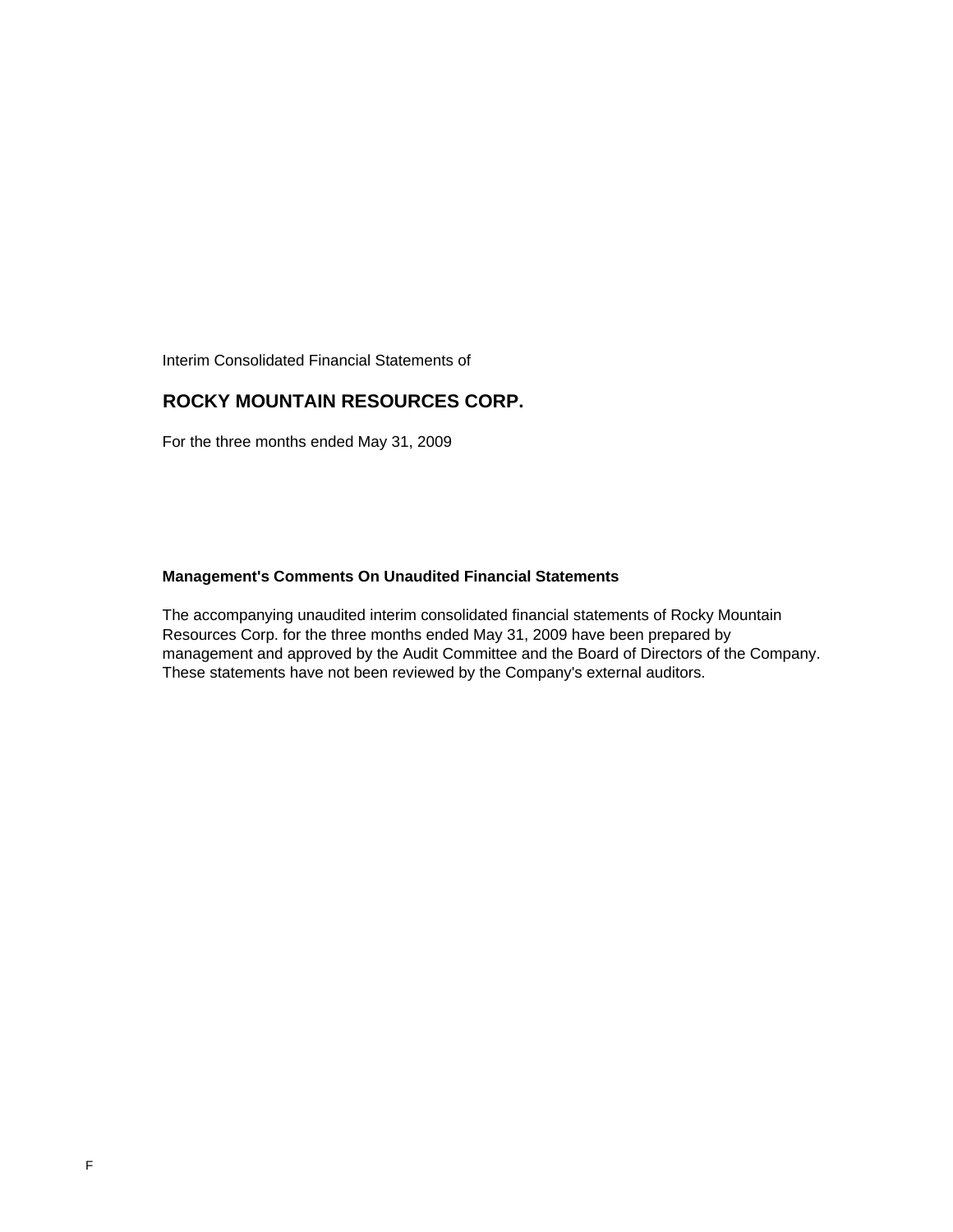Interim Consolidated Financial Statements of

### **ROCKY MOUNTAIN RESOURCES CORP.**

For the three months ended May 31, 2009

### **Management's Comments On Unaudited Financial Statements**

The accompanying unaudited interim consolidated financial statements of Rocky Mountain Resources Corp. for the three months ended May 31, 2009 have been prepared by management and approved by the Audit Committee and the Board of Directors of the Company. These statements have not been reviewed by the Company's external auditors.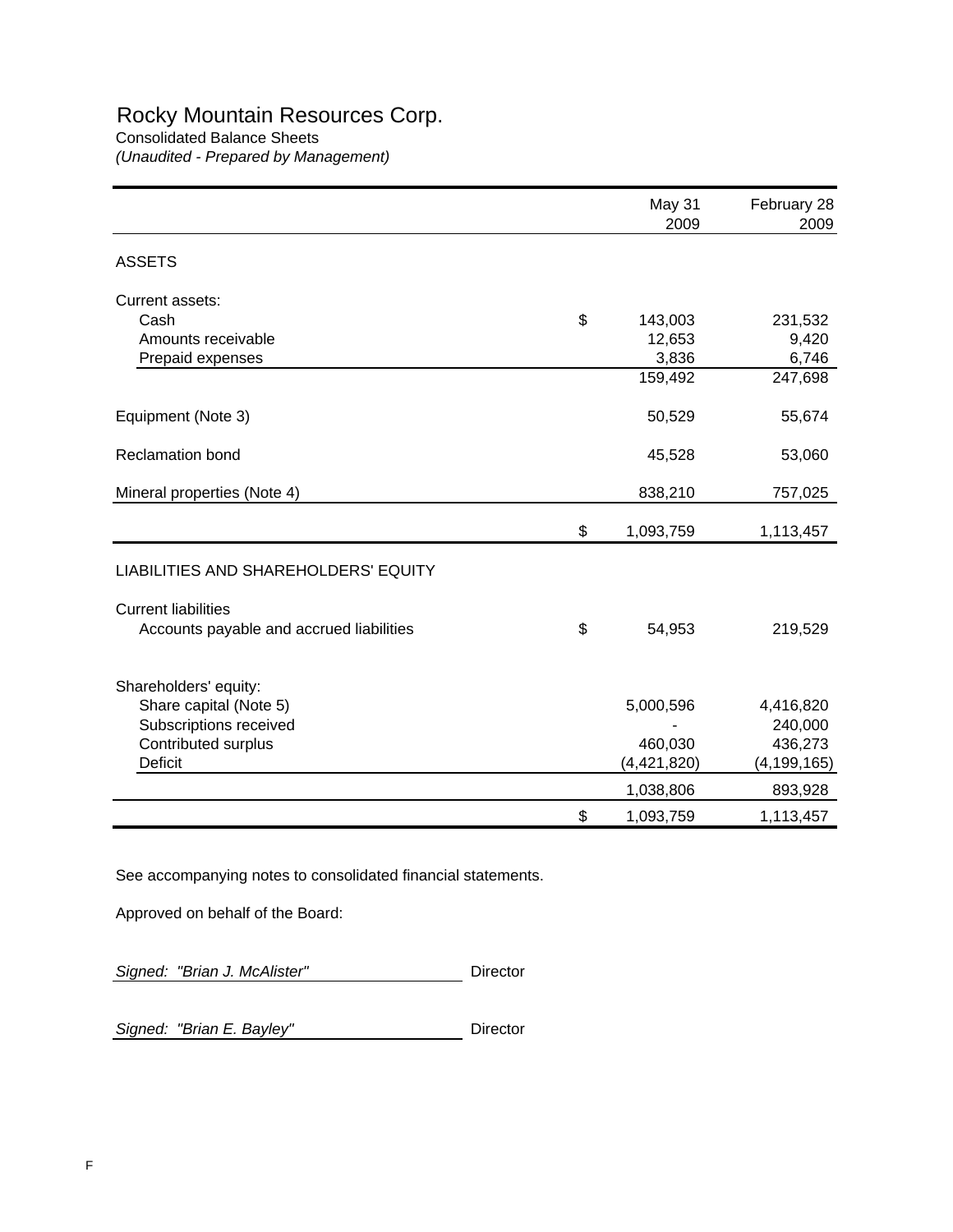# Rocky Mountain Resources Corp.

Consolidated Balance Sheets *(Unaudited - Prepared by Management)*

|                                          | May 31<br>2009  | February 28<br>2009 |
|------------------------------------------|-----------------|---------------------|
| <b>ASSETS</b>                            |                 |                     |
| Current assets:                          |                 |                     |
| Cash                                     | \$<br>143,003   | 231,532             |
| Amounts receivable                       | 12,653          | 9,420               |
| Prepaid expenses                         | 3,836           | 6,746               |
|                                          | 159,492         | 247,698             |
| Equipment (Note 3)                       | 50,529          | 55,674              |
| <b>Reclamation bond</b>                  | 45,528          | 53,060              |
| Mineral properties (Note 4)              | 838,210         | 757,025             |
|                                          | \$<br>1,093,759 | 1,113,457           |
| LIABILITIES AND SHAREHOLDERS' EQUITY     |                 |                     |
| <b>Current liabilities</b>               |                 |                     |
| Accounts payable and accrued liabilities | \$<br>54,953    | 219,529             |
| Shareholders' equity:                    |                 |                     |
| Share capital (Note 5)                   | 5,000,596       | 4,416,820           |
| Subscriptions received                   |                 | 240,000             |
| Contributed surplus                      | 460,030         | 436,273             |
| <b>Deficit</b>                           | (4,421,820)     | (4, 199, 165)       |
|                                          | 1,038,806       | 893,928             |
|                                          | \$<br>1,093,759 | 1,113,457           |

See accompanying notes to consolidated financial statements.

Approved on behalf of the Board:

**Signed: "Brian J. McAlister"** Director

**Signed: "Brian E. Bayley"** Director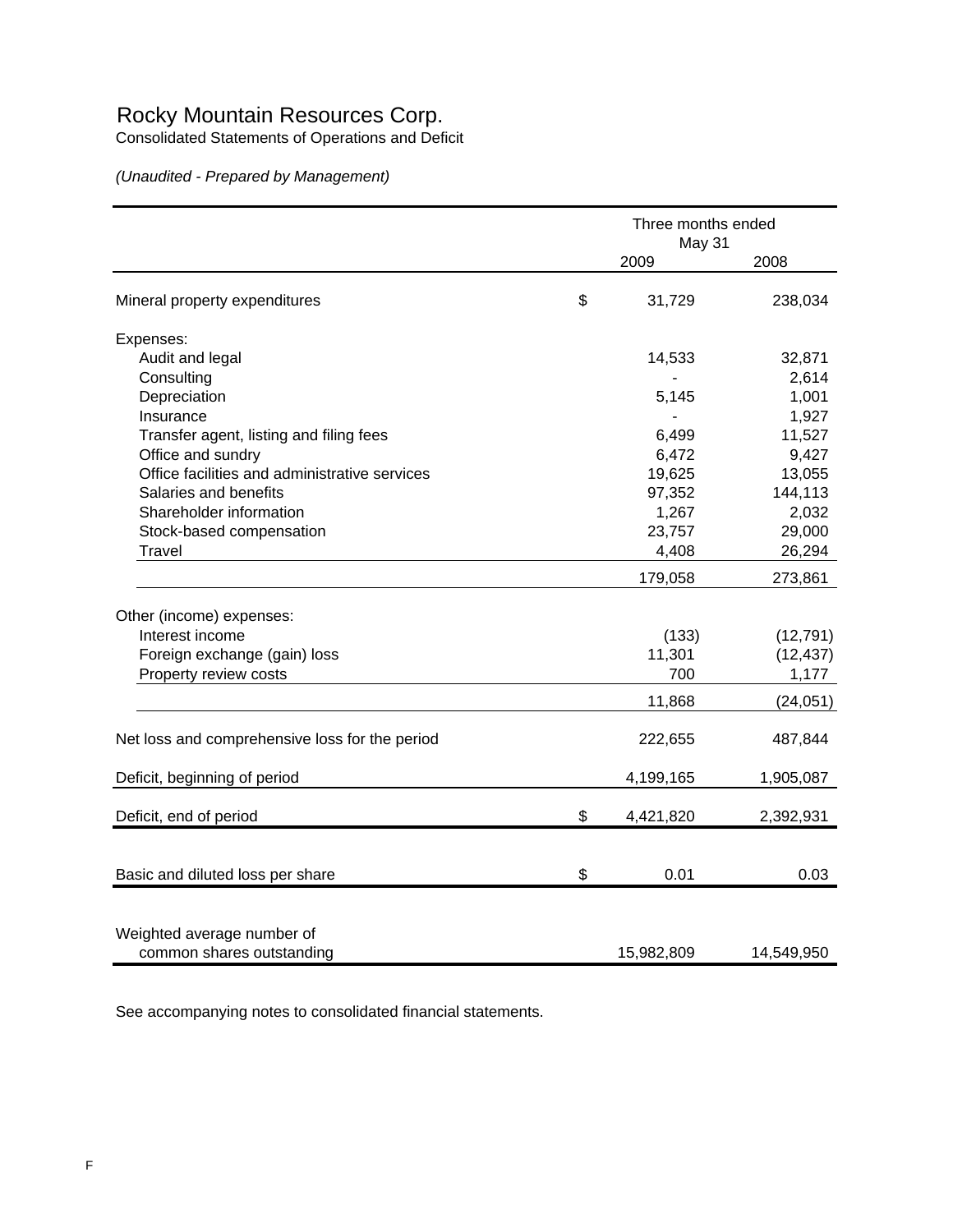## Rocky Mountain Resources Corp.

Consolidated Statements of Operations and Deficit

*(Unaudited - Prepared by Management)*

|                                                |    | Three months ended |            |
|------------------------------------------------|----|--------------------|------------|
|                                                |    | May 31<br>2009     | 2008       |
| Mineral property expenditures                  | \$ | 31,729             | 238,034    |
| Expenses:                                      |    |                    |            |
| Audit and legal                                |    | 14,533             | 32,871     |
| Consulting                                     |    |                    | 2,614      |
| Depreciation                                   |    | 5,145              | 1,001      |
| Insurance                                      |    |                    | 1,927      |
| Transfer agent, listing and filing fees        |    | 6,499              | 11,527     |
| Office and sundry                              |    | 6,472              | 9,427      |
| Office facilities and administrative services  |    | 19,625             | 13,055     |
| Salaries and benefits                          |    | 97,352             | 144,113    |
| Shareholder information                        |    | 1,267              | 2,032      |
| Stock-based compensation                       |    | 23,757             | 29,000     |
| <b>Travel</b>                                  |    | 4,408              | 26,294     |
|                                                |    | 179,058            | 273,861    |
| Other (income) expenses:                       |    |                    |            |
| Interest income                                |    | (133)              | (12, 791)  |
| Foreign exchange (gain) loss                   |    | 11,301             | (12, 437)  |
| Property review costs                          |    | 700                | 1,177      |
|                                                |    | 11,868             | (24, 051)  |
|                                                |    |                    |            |
| Net loss and comprehensive loss for the period |    | 222,655            | 487,844    |
| Deficit, beginning of period                   |    | 4,199,165          | 1,905,087  |
| Deficit, end of period                         | \$ | 4,421,820          | 2,392,931  |
|                                                |    |                    |            |
| Basic and diluted loss per share               | \$ | 0.01               | 0.03       |
|                                                |    |                    |            |
| Weighted average number of                     |    |                    |            |
| common shares outstanding                      |    | 15,982,809         | 14,549,950 |

See accompanying notes to consolidated financial statements.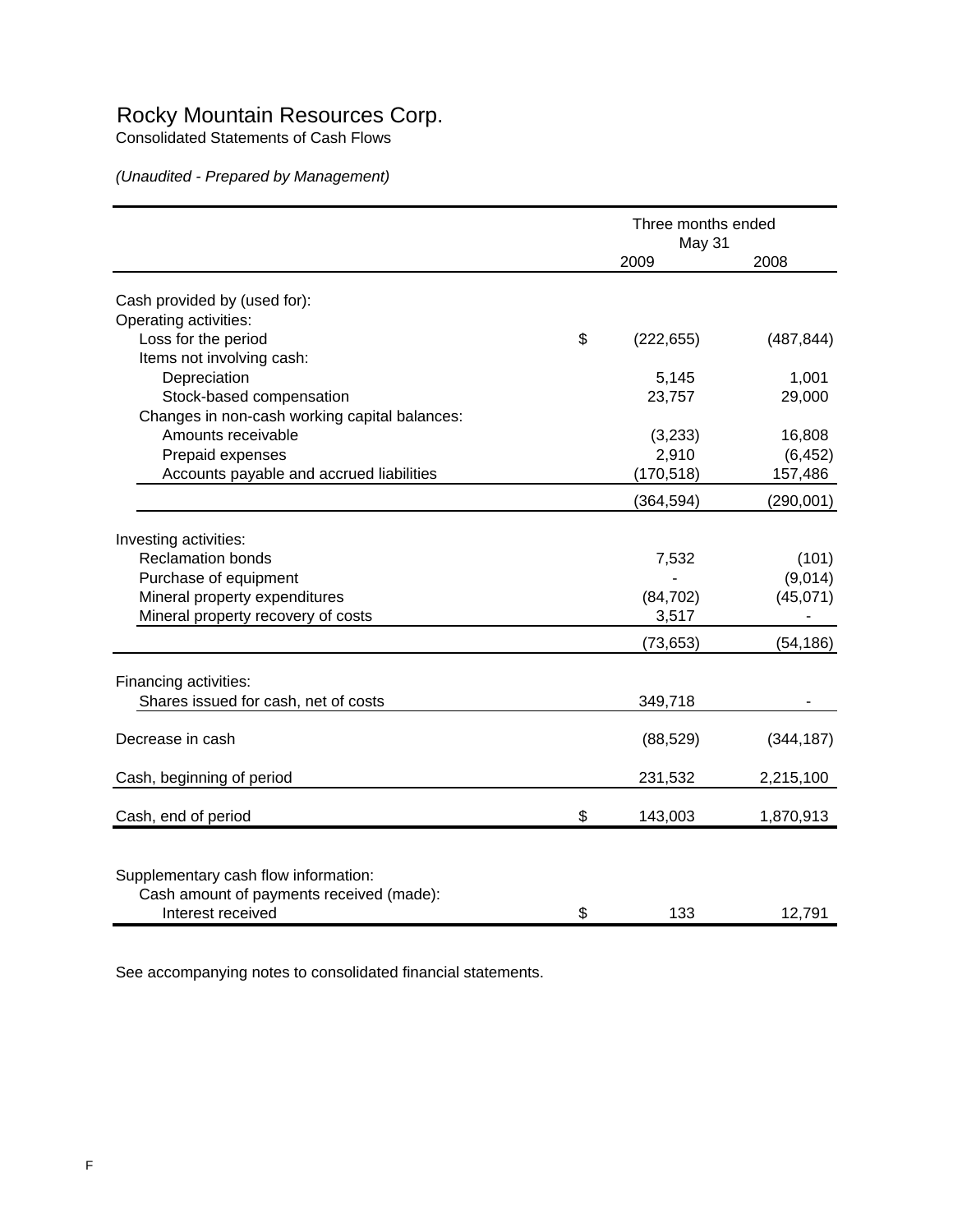## Rocky Mountain Resources Corp.

Consolidated Statements of Cash Flows

*(Unaudited - Prepared by Management)*

|                                               | Three months ended<br>May 31 |                  |                    |
|-----------------------------------------------|------------------------------|------------------|--------------------|
|                                               |                              | 2009             | 2008               |
| Cash provided by (used for):                  |                              |                  |                    |
| Operating activities:                         |                              |                  |                    |
| Loss for the period                           | \$                           | (222, 655)       | (487, 844)         |
| Items not involving cash:                     |                              |                  |                    |
| Depreciation                                  |                              | 5,145            | 1,001              |
| Stock-based compensation                      |                              | 23,757           | 29,000             |
| Changes in non-cash working capital balances: |                              |                  |                    |
| Amounts receivable                            |                              |                  |                    |
| Prepaid expenses                              |                              | (3,233)<br>2,910 | 16,808<br>(6, 452) |
|                                               |                              |                  |                    |
| Accounts payable and accrued liabilities      |                              | (170, 518)       | 157,486            |
|                                               |                              | (364, 594)       | (290, 001)         |
| Investing activities:                         |                              |                  |                    |
| <b>Reclamation bonds</b>                      |                              | 7,532            | (101)              |
| Purchase of equipment                         |                              |                  | (9,014)            |
| Mineral property expenditures                 |                              | (84, 702)        | (45,071)           |
| Mineral property recovery of costs            |                              | 3,517            |                    |
|                                               |                              |                  |                    |
|                                               |                              | (73, 653)        | (54, 186)          |
| Financing activities:                         |                              |                  |                    |
| Shares issued for cash, net of costs          |                              | 349,718          |                    |
| Decrease in cash                              |                              | (88, 529)        | (344, 187)         |
|                                               |                              |                  |                    |
| Cash, beginning of period                     |                              | 231,532          | 2,215,100          |
| Cash, end of period                           | \$                           | 143,003          | 1,870,913          |
|                                               |                              |                  |                    |
| Supplementary cash flow information:          |                              |                  |                    |
| Cash amount of payments received (made):      |                              |                  |                    |
| Interest received                             | \$                           | 133              | 12,791             |

See accompanying notes to consolidated financial statements.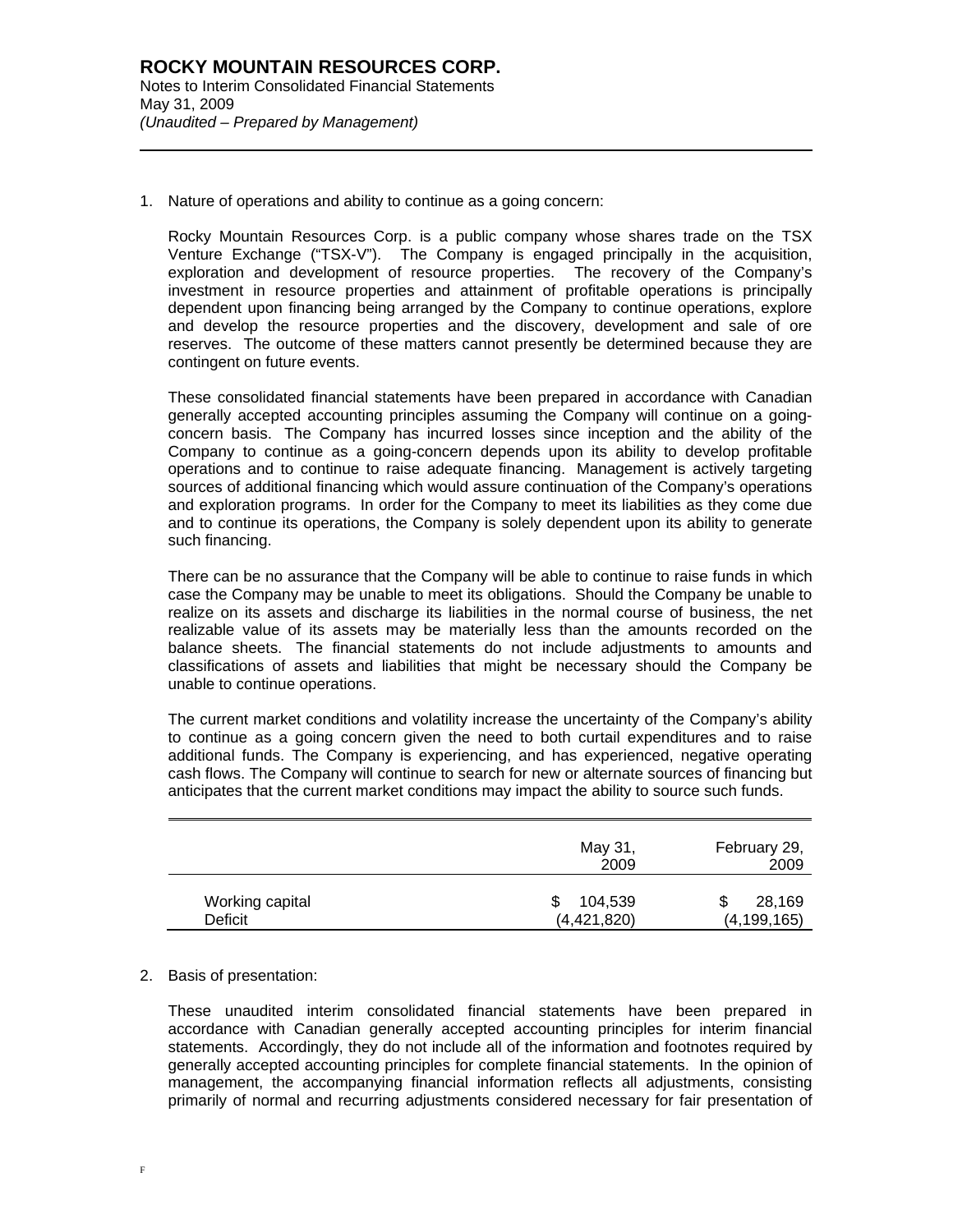l

1. Nature of operations and ability to continue as a going concern:

Rocky Mountain Resources Corp. is a public company whose shares trade on the TSX Venture Exchange ("TSX-V"). The Company is engaged principally in the acquisition, exploration and development of resource properties. The recovery of the Company's investment in resource properties and attainment of profitable operations is principally dependent upon financing being arranged by the Company to continue operations, explore and develop the resource properties and the discovery, development and sale of ore reserves. The outcome of these matters cannot presently be determined because they are contingent on future events.

These consolidated financial statements have been prepared in accordance with Canadian generally accepted accounting principles assuming the Company will continue on a goingconcern basis. The Company has incurred losses since inception and the ability of the Company to continue as a going-concern depends upon its ability to develop profitable operations and to continue to raise adequate financing. Management is actively targeting sources of additional financing which would assure continuation of the Company's operations and exploration programs. In order for the Company to meet its liabilities as they come due and to continue its operations, the Company is solely dependent upon its ability to generate such financing.

There can be no assurance that the Company will be able to continue to raise funds in which case the Company may be unable to meet its obligations. Should the Company be unable to realize on its assets and discharge its liabilities in the normal course of business, the net realizable value of its assets may be materially less than the amounts recorded on the balance sheets. The financial statements do not include adjustments to amounts and classifications of assets and liabilities that might be necessary should the Company be unable to continue operations.

The current market conditions and volatility increase the uncertainty of the Company's ability to continue as a going concern given the need to both curtail expenditures and to raise additional funds. The Company is experiencing, and has experienced, negative operating cash flows. The Company will continue to search for new or alternate sources of financing but anticipates that the current market conditions may impact the ability to source such funds.

|                 | May 31,<br>2009 | February 29,<br>2009 |
|-----------------|-----------------|----------------------|
| Working capital | 104,539         | 28,169               |
| Deficit         | (4,421,820)     | (4, 199, 165)        |

2. Basis of presentation:

These unaudited interim consolidated financial statements have been prepared in accordance with Canadian generally accepted accounting principles for interim financial statements. Accordingly, they do not include all of the information and footnotes required by generally accepted accounting principles for complete financial statements. In the opinion of management, the accompanying financial information reflects all adjustments, consisting primarily of normal and recurring adjustments considered necessary for fair presentation of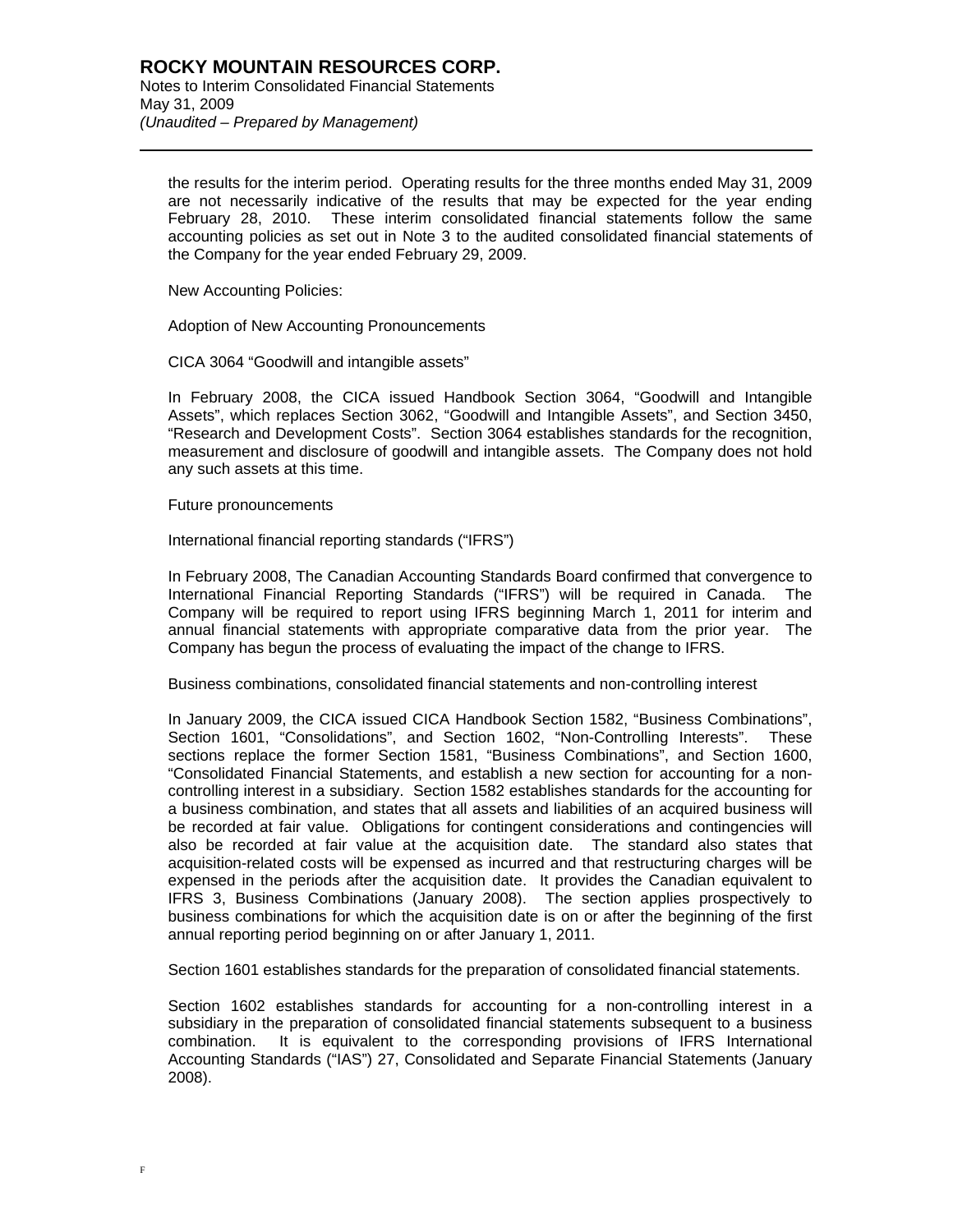the results for the interim period. Operating results for the three months ended May 31, 2009 are not necessarily indicative of the results that may be expected for the year ending February 28, 2010. These interim consolidated financial statements follow the same accounting policies as set out in Note 3 to the audited consolidated financial statements of the Company for the year ended February 29, 2009.

New Accounting Policies:

l

Adoption of New Accounting Pronouncements

CICA 3064 "Goodwill and intangible assets"

In February 2008, the CICA issued Handbook Section 3064, "Goodwill and Intangible Assets", which replaces Section 3062, "Goodwill and Intangible Assets", and Section 3450, "Research and Development Costs". Section 3064 establishes standards for the recognition, measurement and disclosure of goodwill and intangible assets. The Company does not hold any such assets at this time.

Future pronouncements

International financial reporting standards ("IFRS")

In February 2008, The Canadian Accounting Standards Board confirmed that convergence to International Financial Reporting Standards ("IFRS") will be required in Canada. The Company will be required to report using IFRS beginning March 1, 2011 for interim and annual financial statements with appropriate comparative data from the prior year. The Company has begun the process of evaluating the impact of the change to IFRS.

Business combinations, consolidated financial statements and non-controlling interest

In January 2009, the CICA issued CICA Handbook Section 1582, "Business Combinations", Section 1601, "Consolidations", and Section 1602, "Non-Controlling Interests". These sections replace the former Section 1581, "Business Combinations", and Section 1600, "Consolidated Financial Statements, and establish a new section for accounting for a noncontrolling interest in a subsidiary. Section 1582 establishes standards for the accounting for a business combination, and states that all assets and liabilities of an acquired business will be recorded at fair value. Obligations for contingent considerations and contingencies will also be recorded at fair value at the acquisition date. The standard also states that acquisition-related costs will be expensed as incurred and that restructuring charges will be expensed in the periods after the acquisition date. It provides the Canadian equivalent to IFRS 3, Business Combinations (January 2008). The section applies prospectively to business combinations for which the acquisition date is on or after the beginning of the first annual reporting period beginning on or after January 1, 2011.

Section 1601 establishes standards for the preparation of consolidated financial statements.

Section 1602 establishes standards for accounting for a non-controlling interest in a subsidiary in the preparation of consolidated financial statements subsequent to a business combination. It is equivalent to the corresponding provisions of IFRS International Accounting Standards ("IAS") 27, Consolidated and Separate Financial Statements (January 2008).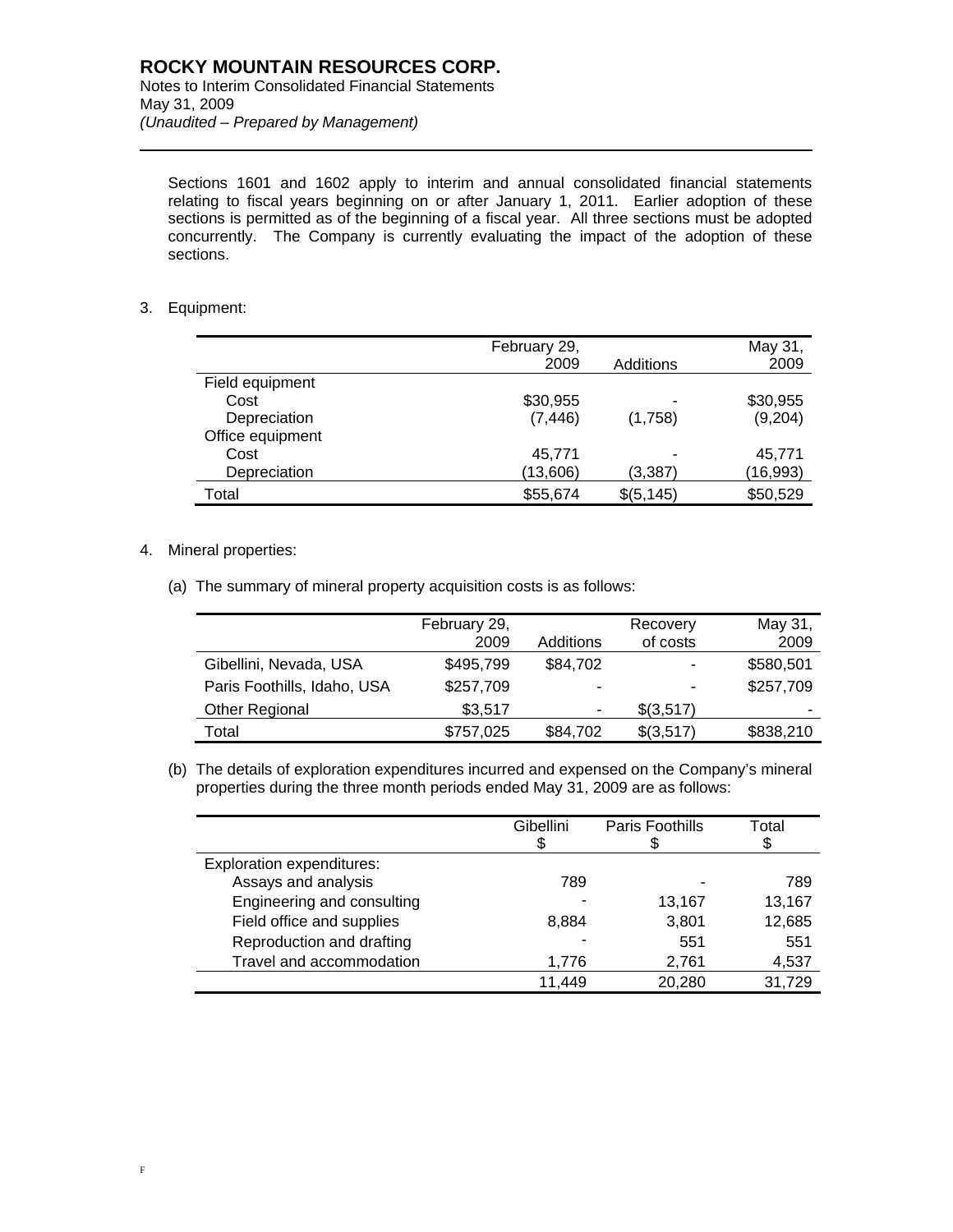Sections 1601 and 1602 apply to interim and annual consolidated financial statements relating to fiscal years beginning on or after January 1, 2011. Earlier adoption of these sections is permitted as of the beginning of a fiscal year. All three sections must be adopted concurrently. The Company is currently evaluating the impact of the adoption of these sections.

### 3. Equipment:

l

|                  | February 29,<br>2009 | Additions  | May 31,<br>2009 |
|------------------|----------------------|------------|-----------------|
| Field equipment  |                      |            |                 |
| Cost             | \$30,955             |            | \$30,955        |
| Depreciation     | (7, 446)             | (1,758)    | (9,204)         |
| Office equipment |                      |            |                 |
| Cost             | 45,771               |            | 45,771          |
| Depreciation     | (13,606)             | (3,387)    | (16,993)        |
| Total            | \$55,674             | \$(5, 145) | \$50,529        |

### 4. Mineral properties:

(a) The summary of mineral property acquisition costs is as follows:

|                             | February 29, |           | Recovery  | May 31,   |
|-----------------------------|--------------|-----------|-----------|-----------|
|                             | 2009         | Additions | of costs  | 2009      |
| Gibellini, Nevada, USA      | \$495,799    | \$84,702  | ٠         | \$580,501 |
| Paris Foothills, Idaho, USA | \$257,709    |           | ۰         | \$257,709 |
| Other Regional              | \$3,517      | ۰         | \$(3,517) | -         |
| Total                       | \$757,025    | \$84,702  | \$(3,517) | \$838,210 |

(b) The details of exploration expenditures incurred and expensed on the Company's mineral properties during the three month periods ended May 31, 2009 are as follows:

|                                  | Gibellini | Paris Foothills | Total  |
|----------------------------------|-----------|-----------------|--------|
| <b>Exploration expenditures:</b> |           |                 |        |
| Assays and analysis              | 789       |                 | 789    |
| Engineering and consulting       |           | 13,167          | 13,167 |
| Field office and supplies        | 8,884     | 3,801           | 12,685 |
| Reproduction and drafting        |           | 551             | 551    |
| Travel and accommodation         | 1,776     | 2,761           | 4,537  |
|                                  | 11,449    | 20,280          | 31,729 |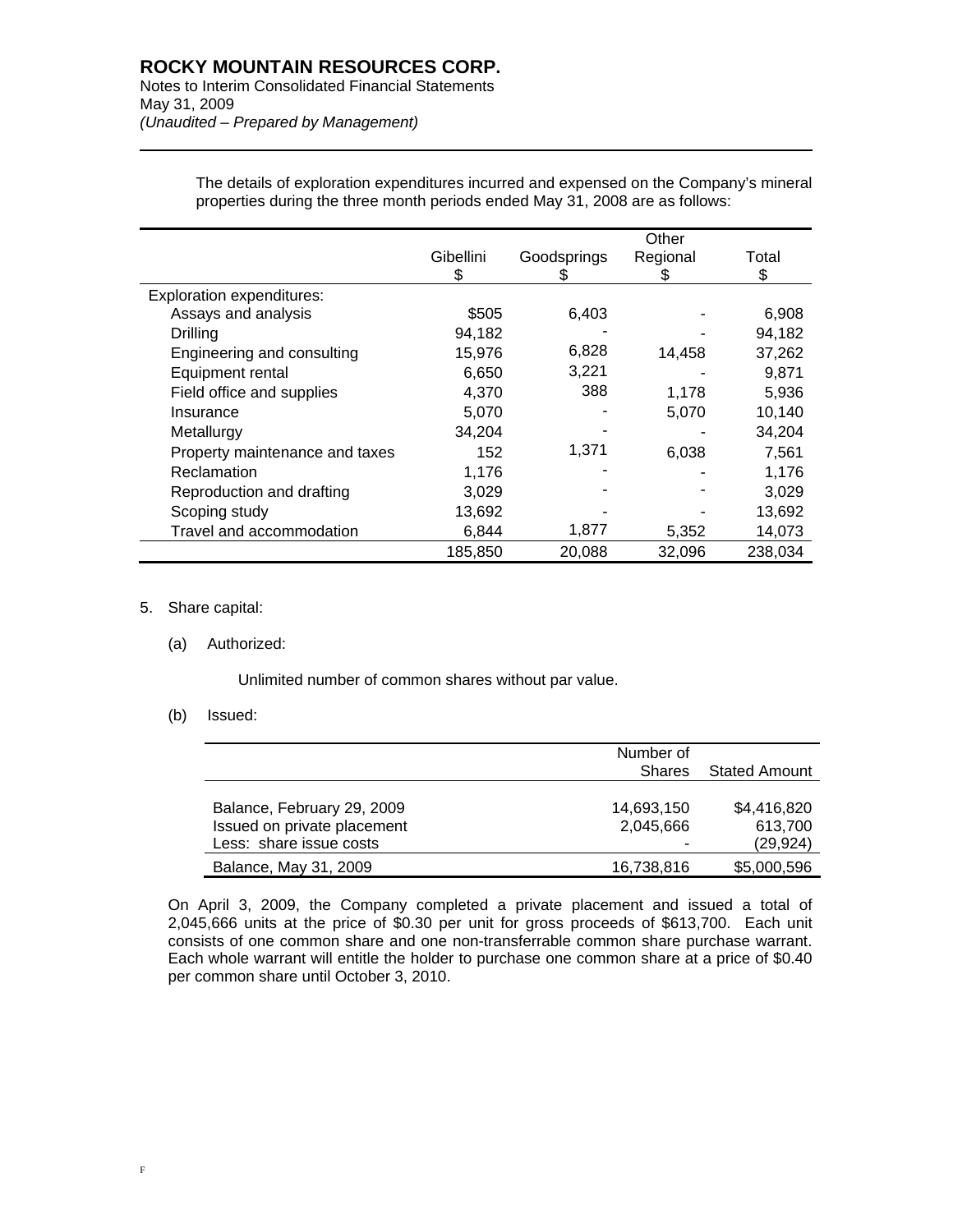## **ROCKY MOUNTAIN RESOURCES CORP.**

Notes to Interim Consolidated Financial Statements May 31, 2009 *(Unaudited – Prepared by Management)* 

|                                  |           |             | Other    |         |
|----------------------------------|-----------|-------------|----------|---------|
|                                  | Gibellini | Goodsprings | Regional | Total   |
|                                  | S         |             | ን        | \$      |
| <b>Exploration expenditures:</b> |           |             |          |         |
| Assays and analysis              | \$505     | 6,403       |          | 6,908   |
| Drilling                         | 94,182    |             |          | 94,182  |
| Engineering and consulting       | 15,976    | 6,828       | 14,458   | 37,262  |
| Equipment rental                 | 6,650     | 3,221       |          | 9,871   |
| Field office and supplies        | 4,370     | 388         | 1,178    | 5,936   |
| Insurance                        | 5,070     |             | 5,070    | 10,140  |
| Metallurgy                       | 34,204    |             |          | 34,204  |
| Property maintenance and taxes   | 152       | 1,371       | 6,038    | 7,561   |
| Reclamation                      | 1,176     |             |          | 1,176   |
| Reproduction and drafting        | 3,029     |             |          | 3,029   |
| Scoping study                    | 13,692    |             |          | 13,692  |
| Travel and accommodation         | 6,844     | 1,877       | 5,352    | 14,073  |
|                                  | 185,850   | 20,088      | 32,096   | 238,034 |

The details of exploration expenditures incurred and expensed on the Company's mineral properties during the three month periods ended May 31, 2008 are as follows:

### 5. Share capital:

l

(a) Authorized:

Unlimited number of common shares without par value.

### (b) Issued:

|                             | Number of     |               |
|-----------------------------|---------------|---------------|
|                             | <b>Shares</b> | Stated Amount |
|                             |               |               |
| Balance, February 29, 2009  | 14,693,150    | \$4,416,820   |
| Issued on private placement | 2,045,666     | 613,700       |
| Less: share issue costs     | ٠             | (29, 924)     |
| Balance, May 31, 2009       | 16,738,816    | \$5,000,596   |

On April 3, 2009, the Company completed a private placement and issued a total of 2,045,666 units at the price of \$0.30 per unit for gross proceeds of \$613,700. Each unit consists of one common share and one non-transferrable common share purchase warrant. Each whole warrant will entitle the holder to purchase one common share at a price of \$0.40 per common share until October 3, 2010.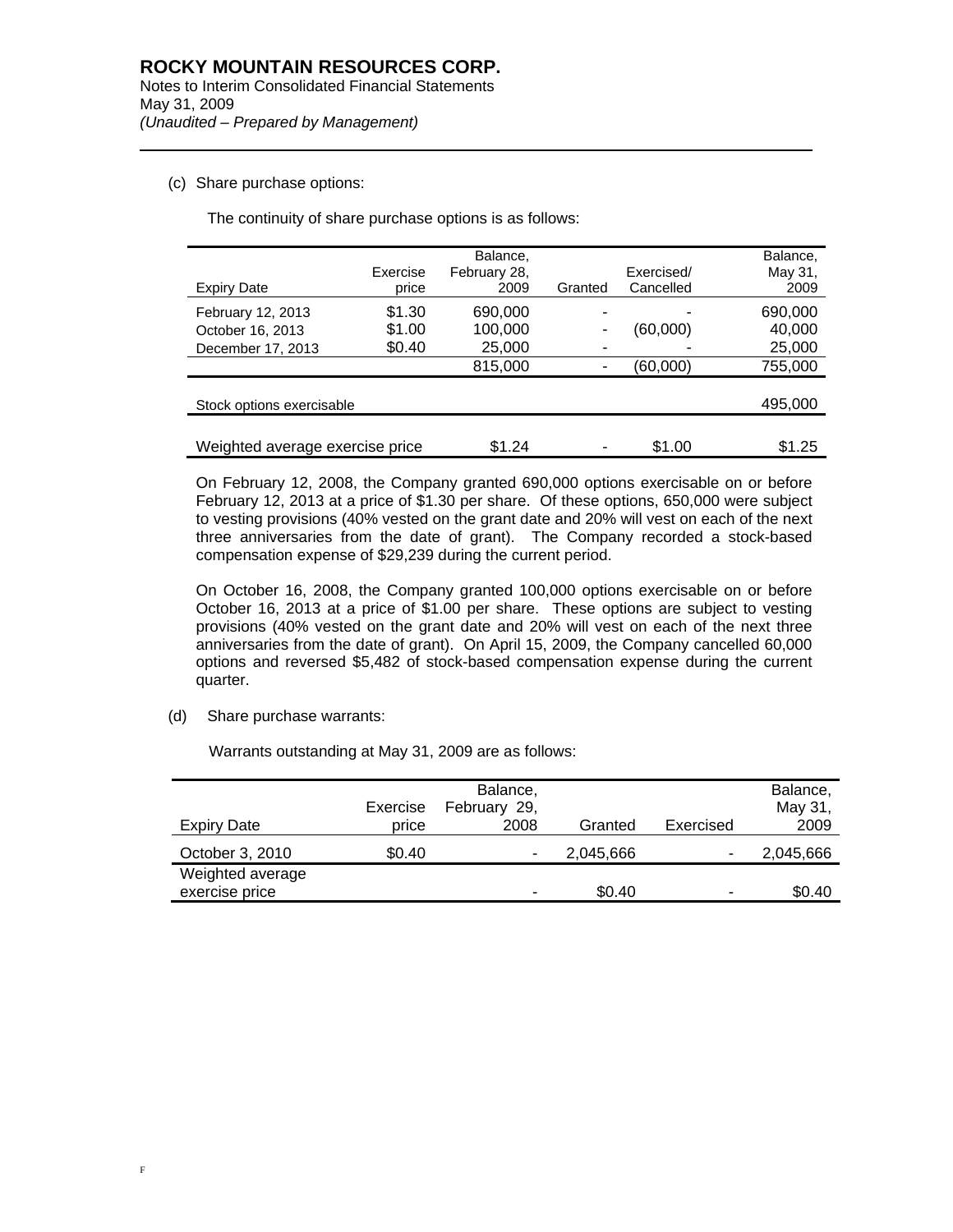### (c) Share purchase options:

l

The continuity of share purchase options is as follows:

|                                 |          | Balance,     |            |           | Balance. |
|---------------------------------|----------|--------------|------------|-----------|----------|
|                                 | Exercise | February 28, | Exercised/ |           | May 31,  |
| <b>Expiry Date</b>              | price    | 2009         | Granted    | Cancelled | 2009     |
| February 12, 2013               | \$1.30   | 690,000      |            |           | 690,000  |
| October 16, 2013                | \$1.00   | 100,000      |            | (60,000)  | 40,000   |
| December 17, 2013               | \$0.40   | 25,000       |            |           | 25,000   |
|                                 |          | 815,000      |            | (60,000)  | 755,000  |
|                                 |          |              |            |           |          |
| Stock options exercisable       |          |              |            |           | 495,000  |
|                                 |          |              |            |           |          |
| Weighted average exercise price |          | \$1.24       |            | \$1.00    | \$1.25   |

On February 12, 2008, the Company granted 690,000 options exercisable on or before February 12, 2013 at a price of \$1.30 per share. Of these options, 650,000 were subject to vesting provisions (40% vested on the grant date and 20% will vest on each of the next three anniversaries from the date of grant). The Company recorded a stock-based compensation expense of \$29,239 during the current period.

On October 16, 2008, the Company granted 100,000 options exercisable on or before October 16, 2013 at a price of \$1.00 per share. These options are subject to vesting provisions (40% vested on the grant date and 20% will vest on each of the next three anniversaries from the date of grant). On April 15, 2009, the Company cancelled 60,000 options and reversed \$5,482 of stock-based compensation expense during the current quarter.

(d) Share purchase warrants:

Warrants outstanding at May 31, 2009 are as follows:

| Expiry Date                        | Exercise<br>price | Balance,<br>February 29,<br>2008 | Granted   | Exercised | Balance,<br>May 31,<br>2009 |
|------------------------------------|-------------------|----------------------------------|-----------|-----------|-----------------------------|
| October 3, 2010                    | \$0.40            | -                                | 2,045,666 | -         | 2,045,666                   |
| Weighted average<br>exercise price |                   | ۰                                | \$0.40    | ٠         | \$0.40                      |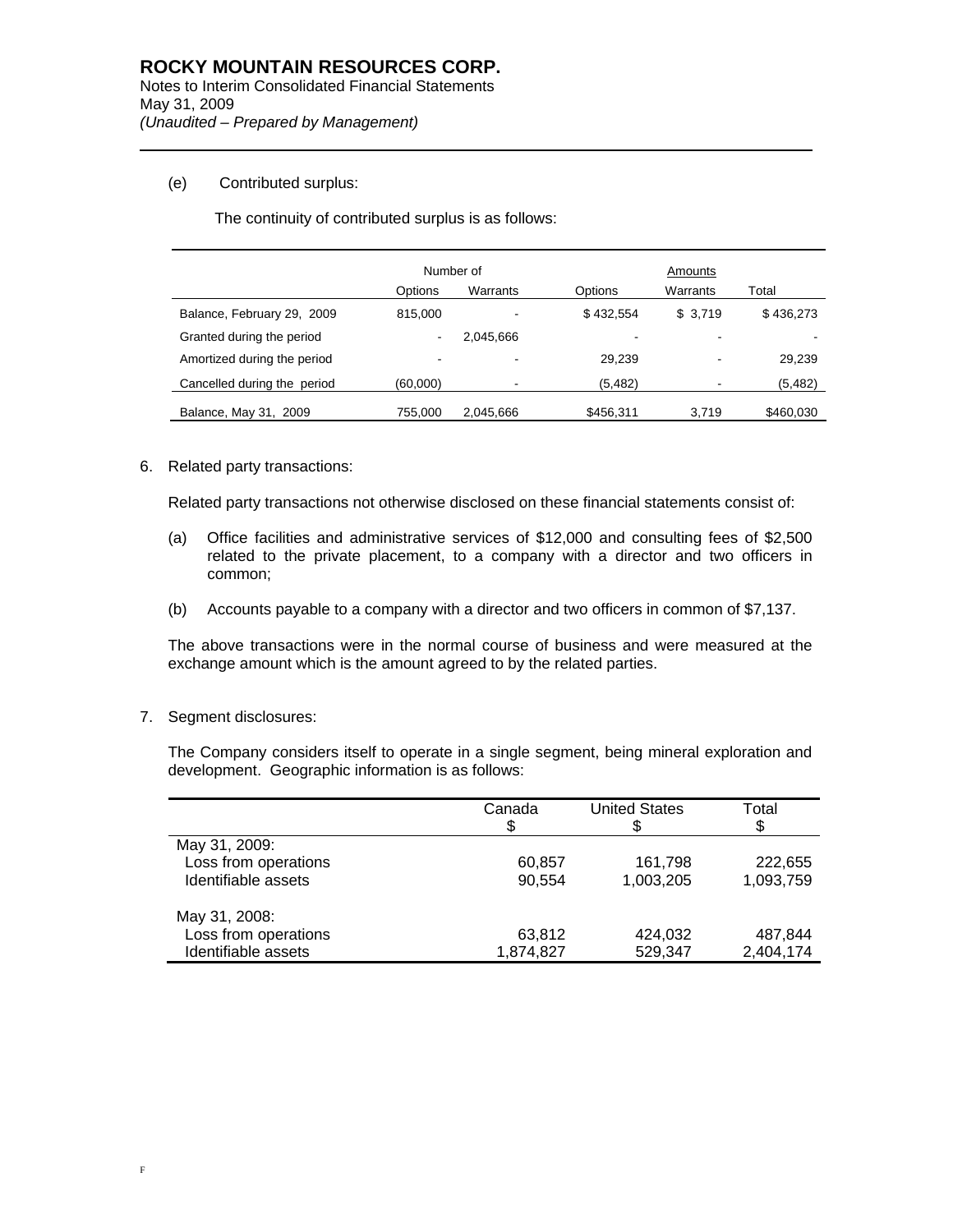### (e) Contributed surplus:

l

The continuity of contributed surplus is as follows:

|                             | Number of                |           |           | Amounts                  |           |  |
|-----------------------------|--------------------------|-----------|-----------|--------------------------|-----------|--|
|                             | Options                  | Warrants  | Options   | Warrants                 | Total     |  |
| Balance, February 29, 2009  | 815,000                  |           | \$432.554 | \$3,719                  | \$436,273 |  |
| Granted during the period   | $\overline{\phantom{a}}$ | 2,045,666 |           | $\overline{\phantom{0}}$ |           |  |
| Amortized during the period | ۰                        |           | 29.239    | $\overline{\phantom{a}}$ | 29,239    |  |
| Cancelled during the period | (60,000)                 |           | (5, 482)  | $\,$                     | (5, 482)  |  |
| Balance, May 31, 2009       | 755.000                  | 2,045,666 | \$456,311 | 3.719                    | \$460,030 |  |

6. Related party transactions:

Related party transactions not otherwise disclosed on these financial statements consist of:

- (a) Office facilities and administrative services of \$12,000 and consulting fees of \$2,500 related to the private placement, to a company with a director and two officers in common;
- (b) Accounts payable to a company with a director and two officers in common of \$7,137.

The above transactions were in the normal course of business and were measured at the exchange amount which is the amount agreed to by the related parties.

7. Segment disclosures:

The Company considers itself to operate in a single segment, being mineral exploration and development. Geographic information is as follows:

|                      | Canada<br>S | <b>United States</b> | Total<br>\$ |
|----------------------|-------------|----------------------|-------------|
| May 31, 2009:        |             |                      |             |
| Loss from operations | 60,857      | 161,798              | 222,655     |
| Identifiable assets  | 90,554      | 1,003,205            | 1,093,759   |
| May 31, 2008:        |             |                      |             |
| Loss from operations | 63,812      | 424,032              | 487,844     |
| Identifiable assets  | 1,874,827   | 529,347              | 2,404,174   |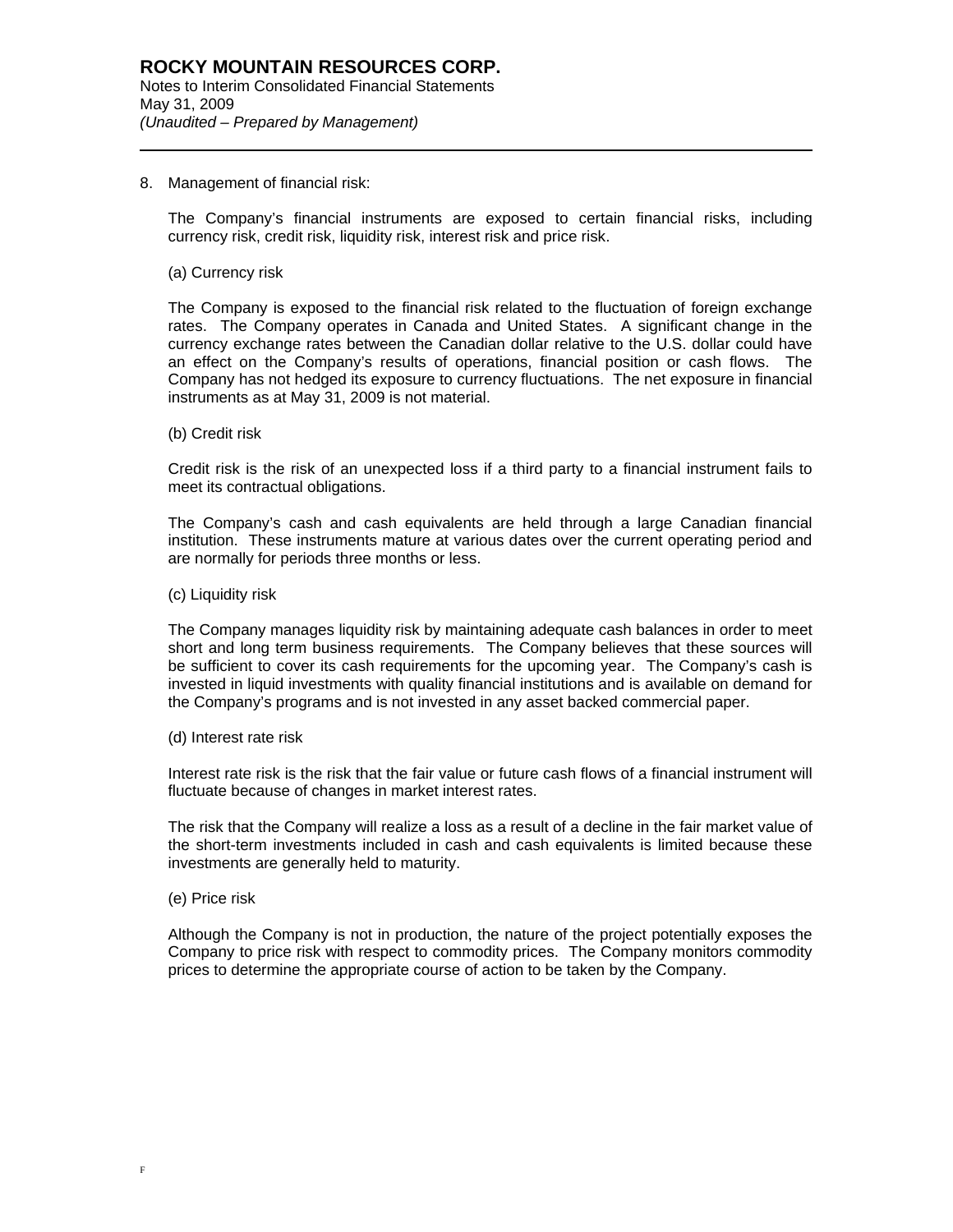### 8. Management of financial risk:

The Company's financial instruments are exposed to certain financial risks, including currency risk, credit risk, liquidity risk, interest risk and price risk.

#### (a) Currency risk

l

The Company is exposed to the financial risk related to the fluctuation of foreign exchange rates. The Company operates in Canada and United States. A significant change in the currency exchange rates between the Canadian dollar relative to the U.S. dollar could have an effect on the Company's results of operations, financial position or cash flows. The Company has not hedged its exposure to currency fluctuations. The net exposure in financial instruments as at May 31, 2009 is not material.

(b) Credit risk

Credit risk is the risk of an unexpected loss if a third party to a financial instrument fails to meet its contractual obligations.

The Company's cash and cash equivalents are held through a large Canadian financial institution. These instruments mature at various dates over the current operating period and are normally for periods three months or less.

(c) Liquidity risk

The Company manages liquidity risk by maintaining adequate cash balances in order to meet short and long term business requirements. The Company believes that these sources will be sufficient to cover its cash requirements for the upcoming year. The Company's cash is invested in liquid investments with quality financial institutions and is available on demand for the Company's programs and is not invested in any asset backed commercial paper.

(d) Interest rate risk

Interest rate risk is the risk that the fair value or future cash flows of a financial instrument will fluctuate because of changes in market interest rates.

The risk that the Company will realize a loss as a result of a decline in the fair market value of the short-term investments included in cash and cash equivalents is limited because these investments are generally held to maturity.

(e) Price risk

Although the Company is not in production, the nature of the project potentially exposes the Company to price risk with respect to commodity prices. The Company monitors commodity prices to determine the appropriate course of action to be taken by the Company.